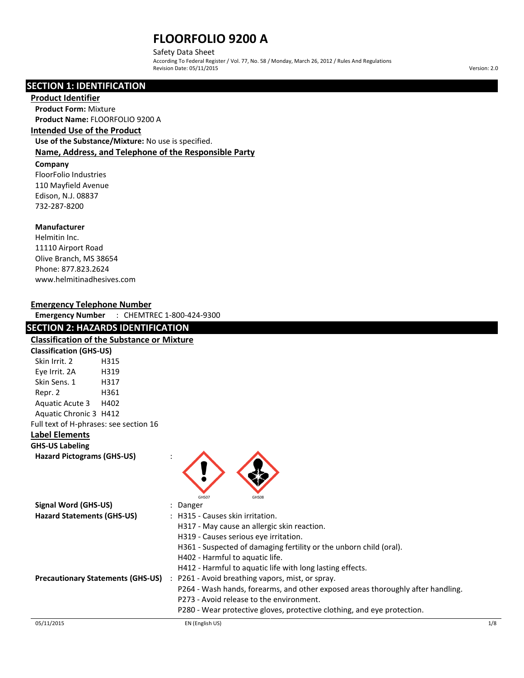Safety Data Sheet According To Federal Register / Vol. 77, No. 58 / Monday, March 26, 2012 / Rules And Regulations Revision Date: 05/11/2015 Version: 2.0

## **SECTION 1: IDENTIFICATION**

#### **Product Identifier**

**Product Form:** Mixture **Product Name:** FLOORFOLIO 9200 A

### **Intended Use of the Product**

**Use of the Substance/Mixture:** No use is specified. **Name, Address, and Telephone of the Responsible Party**

#### **Company**

FloorFolio Industries 110 Mayfield Avenue Edison, N.J. 08837 732-287-8200

#### **Manufacturer**

Helmitin Inc. 11110 Airport Road Olive Branch, MS 38654 Phone: 877.823.2624 www.helmitinadhesives.com

#### **Emergency Telephone Number**

**Emergency Number** : CHEMTREC 1-800-424-9300

## **SECTION 2: HAZARDS IDENTIFICATION**

## **Classification of the Substance or Mixture Classification (GHS-US)** Skin Irrit. 2 H315 Eye Irrit. 2A H319 Skin Sens. 1 H317 Repr. 2 H361 Aquatic Acute 3 H402 Aquatic Chronic 3 H412 Full text of H-phrases: see section 16 **Label Elements GHS-US Labeling**



|                                          | GHS07<br>GHS08                                                                  |     |
|------------------------------------------|---------------------------------------------------------------------------------|-----|
| Signal Word (GHS-US)                     | : Danger                                                                        |     |
| <b>Hazard Statements (GHS-US)</b>        | : H315 - Causes skin irritation.                                                |     |
|                                          | H317 - May cause an allergic skin reaction.                                     |     |
|                                          | H319 - Causes serious eye irritation.                                           |     |
|                                          | H361 - Suspected of damaging fertility or the unborn child (oral).              |     |
|                                          | H402 - Harmful to aquatic life.                                                 |     |
|                                          | H412 - Harmful to aquatic life with long lasting effects.                       |     |
| <b>Precautionary Statements (GHS-US)</b> | : P261 - Avoid breathing vapors, mist, or spray.                                |     |
|                                          | P264 - Wash hands, forearms, and other exposed areas thoroughly after handling. |     |
|                                          | P273 - Avoid release to the environment.                                        |     |
|                                          | P280 - Wear protective gloves, protective clothing, and eye protection.         |     |
| 05/11/2015                               | EN (English US)                                                                 | 1/8 |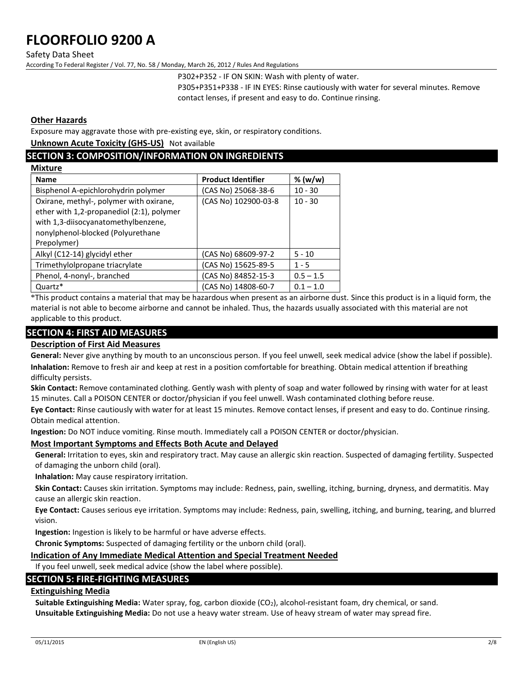Safety Data Sheet

According To Federal Register / Vol. 77, No. 58 / Monday, March 26, 2012 / Rules And Regulations

P302+P352 - IF ON SKIN: Wash with plenty of water.

P305+P351+P338 - IF IN EYES: Rinse cautiously with water for several minutes. Remove contact lenses, if present and easy to do. Continue rinsing.

#### **Other Hazards**

Exposure may aggravate those with pre-existing eye, skin, or respiratory conditions.

**Unknown Acute Toxicity (GHS-US)** Not available

## **SECTION 3: COMPOSITION/INFORMATION ON INGREDIENTS**

| <b>Mixture</b>                                                                                                                                                                  |                           |             |  |
|---------------------------------------------------------------------------------------------------------------------------------------------------------------------------------|---------------------------|-------------|--|
| <b>Name</b>                                                                                                                                                                     | <b>Product Identifier</b> | % (w/w)     |  |
| Bisphenol A-epichlorohydrin polymer                                                                                                                                             | (CAS No) 25068-38-6       | $10 - 30$   |  |
| Oxirane, methyl-, polymer with oxirane,<br>ether with 1,2-propanediol (2:1), polymer<br>with 1,3-diisocyanatomethylbenzene,<br>nonylphenol-blocked (Polyurethane<br>Prepolymer) | (CAS No) 102900-03-8      | $10 - 30$   |  |
| Alkyl (C12-14) glycidyl ether                                                                                                                                                   | (CAS No) 68609-97-2       | $5 - 10$    |  |
| Trimethylolpropane triacrylate                                                                                                                                                  | (CAS No) 15625-89-5       | $1 - 5$     |  |
| Phenol, 4-nonyl-, branched                                                                                                                                                      | (CAS No) 84852-15-3       | $0.5 - 1.5$ |  |
| Quartz*                                                                                                                                                                         | (CAS No) 14808-60-7       | $0.1 - 1.0$ |  |

\*This product contains a material that may be hazardous when present as an airborne dust. Since this product is in a liquid form, the material is not able to become airborne and cannot be inhaled. Thus, the hazards usually associated with this material are not applicable to this product.

### **SECTION 4: FIRST AID MEASURES**

### **Description of First Aid Measures**

**General:** Never give anything by mouth to an unconscious person. If you feel unwell, seek medical advice (show the label if possible). **Inhalation:** Remove to fresh air and keep at rest in a position comfortable for breathing. Obtain medical attention if breathing difficulty persists.

**Skin Contact:** Remove contaminated clothing. Gently wash with plenty of soap and water followed by rinsing with water for at least 15 minutes. Call a POISON CENTER or doctor/physician if you feel unwell. Wash contaminated clothing before reuse.

**Eye Contact:** Rinse cautiously with water for at least 15 minutes. Remove contact lenses, if present and easy to do. Continue rinsing. Obtain medical attention.

**Ingestion:** Do NOT induce vomiting. Rinse mouth. Immediately call a POISON CENTER or doctor/physician.

#### **Most Important Symptoms and Effects Both Acute and Delayed**

**General:** Irritation to eyes, skin and respiratory tract. May cause an allergic skin reaction. Suspected of damaging fertility. Suspected of damaging the unborn child (oral).

**Inhalation:** May cause respiratory irritation.

**Skin Contact:** Causes skin irritation. Symptoms may include: Redness, pain, swelling, itching, burning, dryness, and dermatitis. May cause an allergic skin reaction.

**Eye Contact:** Causes serious eye irritation. Symptoms may include: Redness, pain, swelling, itching, and burning, tearing, and blurred vision.

**Ingestion:** Ingestion is likely to be harmful or have adverse effects.

**Chronic Symptoms:** Suspected of damaging fertility or the unborn child (oral).

#### **Indication of Any Immediate Medical Attention and Special Treatment Needed**

If you feel unwell, seek medical advice (show the label where possible).

## **SECTION 5: FIRE-FIGHTING MEASURES**

### **Extinguishing Media**

Suitable Extinguishing Media: Water spray, fog, carbon dioxide (CO<sub>2</sub>), alcohol-resistant foam, dry chemical, or sand. **Unsuitable Extinguishing Media:** Do not use a heavy water stream. Use of heavy stream of water may spread fire.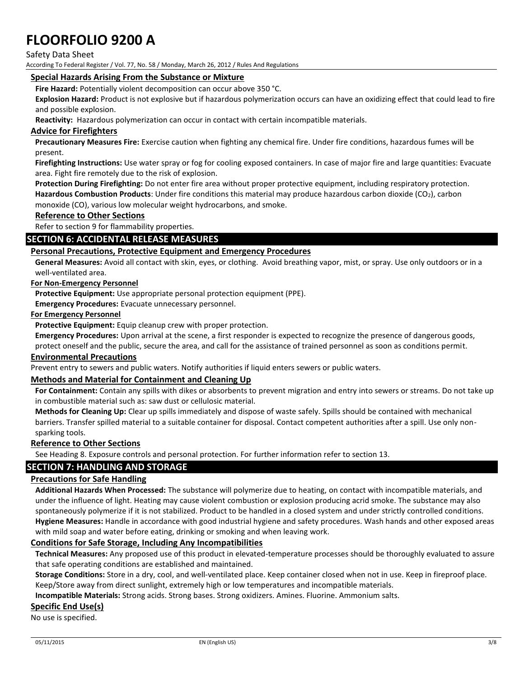Safety Data Sheet

According To Federal Register / Vol. 77, No. 58 / Monday, March 26, 2012 / Rules And Regulations

#### **Special Hazards Arising From the Substance or Mixture**

**Fire Hazard:** Potentially violent decomposition can occur above 350 °C.

**Explosion Hazard:** Product is not explosive but if hazardous polymerization occurs can have an oxidizing effect that could lead to fire and possible explosion.

**Reactivity:** Hazardous polymerization can occur in contact with certain incompatible materials.

#### **Advice for Firefighters**

**Precautionary Measures Fire:** Exercise caution when fighting any chemical fire. Under fire conditions, hazardous fumes will be present.

**Firefighting Instructions:** Use water spray or fog for cooling exposed containers. In case of major fire and large quantities: Evacuate area. Fight fire remotely due to the risk of explosion.

**Protection During Firefighting:** Do not enter fire area without proper protective equipment, including respiratory protection. **Hazardous Combustion Products**: Under fire conditions this material may produce hazardous carbon dioxide (CO2), carbon monoxide (CO), various low molecular weight hydrocarbons, and smoke.

#### **Reference to Other Sections**

Refer to section 9 for flammability properties.

#### **SECTION 6: ACCIDENTAL RELEASE MEASURES**

#### **Personal Precautions, Protective Equipment and Emergency Procedures**

**General Measures:** Avoid all contact with skin, eyes, or clothing. Avoid breathing vapor, mist, or spray. Use only outdoors or in a well-ventilated area.

#### **For Non-Emergency Personnel**

**Protective Equipment:** Use appropriate personal protection equipment (PPE).

**Emergency Procedures:** Evacuate unnecessary personnel.

#### **For Emergency Personnel**

**Protective Equipment:** Equip cleanup crew with proper protection.

**Emergency Procedures:** Upon arrival at the scene, a first responder is expected to recognize the presence of dangerous goods,

protect oneself and the public, secure the area, and call for the assistance of trained personnel as soon as conditions permit.

#### **Environmental Precautions**

Prevent entry to sewers and public waters. Notify authorities if liquid enters sewers or public waters.

#### **Methods and Material for Containment and Cleaning Up**

**For Containment:** Contain any spills with dikes or absorbents to prevent migration and entry into sewers or streams. Do not take up in combustible material such as: saw dust or cellulosic material.

**Methods for Cleaning Up:** Clear up spills immediately and dispose of waste safely. Spills should be contained with mechanical barriers. Transfer spilled material to a suitable container for disposal. Contact competent authorities after a spill. Use only nonsparking tools.

#### **Reference to Other Sections**

See Heading 8. Exposure controls and personal protection. For further information refer to section 13.

#### **SECTION 7: HANDLING AND STORAGE**

#### **Precautions for Safe Handling**

**Additional Hazards When Processed:** The substance will polymerize due to heating, on contact with incompatible materials, and under the influence of light. Heating may cause violent combustion or explosion producing acrid smoke. The substance may also spontaneously polymerize if it is not stabilized. Product to be handled in a closed system and under strictly controlled conditions. **Hygiene Measures:** Handle in accordance with good industrial hygiene and safety procedures. Wash hands and other exposed areas with mild soap and water before eating, drinking or smoking and when leaving work.

#### **Conditions for Safe Storage, Including Any Incompatibilities**

**Technical Measures:** Any proposed use of this product in elevated-temperature processes should be thoroughly evaluated to assure that safe operating conditions are established and maintained.

**Storage Conditions:** Store in a dry, cool, and well-ventilated place. Keep container closed when not in use. Keep in fireproof place. Keep/Store away from direct sunlight, extremely high or low temperatures and incompatible materials.

**Incompatible Materials:** Strong acids. Strong bases. Strong oxidizers. Amines. Fluorine. Ammonium salts.

#### **Specific End Use(s)**

No use is specified.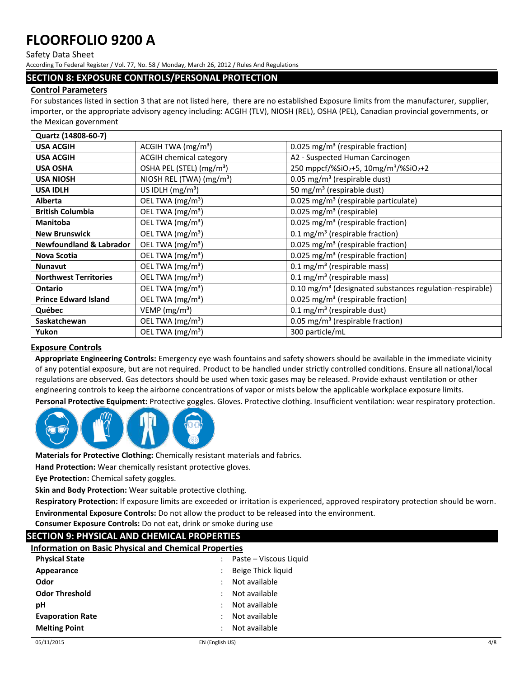#### Safety Data Sheet

According To Federal Register / Vol. 77, No. 58 / Monday, March 26, 2012 / Rules And Regulations

#### **SECTION 8: EXPOSURE CONTROLS/PERSONAL PROTECTION**

#### **Control Parameters**

For substances listed in section 3 that are not listed here, there are no established Exposure limits from the manufacturer, supplier, importer, or the appropriate advisory agency including: ACGIH (TLV), NIOSH (REL), OSHA (PEL), Canadian provincial governments, or the Mexican government

| Quartz (14808-60-7)                     |                                      |                                                                           |
|-----------------------------------------|--------------------------------------|---------------------------------------------------------------------------|
| ACGIH TWA $(mg/m3)$<br><b>USA ACGIH</b> |                                      | 0.025 mg/m <sup>3</sup> (respirable fraction)                             |
| <b>USA ACGIH</b>                        | <b>ACGIH chemical category</b>       | A2 - Suspected Human Carcinogen                                           |
| <b>USA OSHA</b>                         | OSHA PEL (STEL) (mg/m <sup>3</sup> ) | 250 mppcf/%SiO <sub>2</sub> +5, 10mg/m <sup>3</sup> /%SiO <sub>2</sub> +2 |
| <b>USA NIOSH</b>                        | NIOSH REL (TWA) (mg/m <sup>3</sup> ) | 0.05 mg/m <sup>3</sup> (respirable dust)                                  |
| <b>USA IDLH</b>                         | US IDLH $(mg/m3)$                    | 50 mg/m <sup>3</sup> (respirable dust)                                    |
| <b>Alberta</b>                          | OEL TWA (mg/m <sup>3</sup> )         | 0.025 mg/m <sup>3</sup> (respirable particulate)                          |
| <b>British Columbia</b>                 | OEL TWA (mg/m <sup>3</sup> )         | 0.025 mg/m <sup>3</sup> (respirable)                                      |
| <b>Manitoba</b>                         | OEL TWA (mg/m <sup>3</sup> )         | 0.025 mg/m <sup>3</sup> (respirable fraction)                             |
| <b>New Brunswick</b>                    | OEL TWA (mg/m <sup>3</sup> )         | $0.1 \text{ mg/m}^3$ (respirable fraction)                                |
| <b>Newfoundland &amp; Labrador</b>      | OEL TWA (mg/m <sup>3</sup> )         | 0.025 mg/m <sup>3</sup> (respirable fraction)                             |
| <b>Nova Scotia</b>                      | OEL TWA (mg/m <sup>3</sup> )         | 0.025 mg/m <sup>3</sup> (respirable fraction)                             |
| <b>Nunavut</b>                          | OEL TWA (mg/m <sup>3</sup> )         | 0.1 mg/m <sup>3</sup> (respirable mass)                                   |
| <b>Northwest Territories</b>            | OEL TWA (mg/m <sup>3</sup> )         | $0.1 \text{ mg/m}^3$ (respirable mass)                                    |
| <b>Ontario</b>                          | OEL TWA (mg/m <sup>3</sup> )         | 0.10 mg/m <sup>3</sup> (designated substances regulation-respirable)      |
| <b>Prince Edward Island</b>             | OEL TWA (mg/m <sup>3</sup> )         | 0.025 mg/m <sup>3</sup> (respirable fraction)                             |
| Québec                                  | VEMP ( $mg/m3$ )                     | 0.1 mg/m <sup>3</sup> (respirable dust)                                   |
| Saskatchewan                            | OEL TWA (mg/m <sup>3</sup> )         | 0.05 mg/m <sup>3</sup> (respirable fraction)                              |
| Yukon                                   | OEL TWA (mg/m <sup>3</sup> )         | 300 particle/mL                                                           |

#### **Exposure Controls**

**Appropriate Engineering Controls:** Emergency eye wash fountains and safety showers should be available in the immediate vicinity of any potential exposure, but are not required. Product to be handled under strictly controlled conditions. Ensure all national/local regulations are observed. Gas detectors should be used when toxic gases may be released. Provide exhaust ventilation or other engineering controls to keep the airborne concentrations of vapor or mists below the applicable workplace exposure limits.

**Personal Protective Equipment:** Protective goggles. Gloves. Protective clothing. Insufficient ventilation: wear respiratory protection.



**Materials for Protective Clothing:** Chemically resistant materials and fabrics.

**Hand Protection:** Wear chemically resistant protective gloves.

**Eye Protection:** Chemical safety goggles.

**Skin and Body Protection:** Wear suitable protective clothing.

**Respiratory Protection:** If exposure limits are exceeded or irritation is experienced, approved respiratory protection should be worn. **Environmental Exposure Controls:** Do not allow the product to be released into the environment.

**Consumer Exposure Controls:** Do not eat, drink or smoke during use

## **SECTION 9: PHYSICAL AND CHEMICAL PROPERTIES**

| <b>Information on Basic Physical and Chemical Properties</b> |
|--------------------------------------------------------------|
|--------------------------------------------------------------|

| Paste – Viscous Liquid                     |
|--------------------------------------------|
| Beige Thick liquid                         |
| Not available<br>$\mathcal{L}$             |
| Not available<br>$\ddot{\phantom{0}}$      |
| Not available<br>$\mathbb{R}^{\mathbb{Z}}$ |
| Not available<br>÷                         |
| Not available<br>÷                         |
|                                            |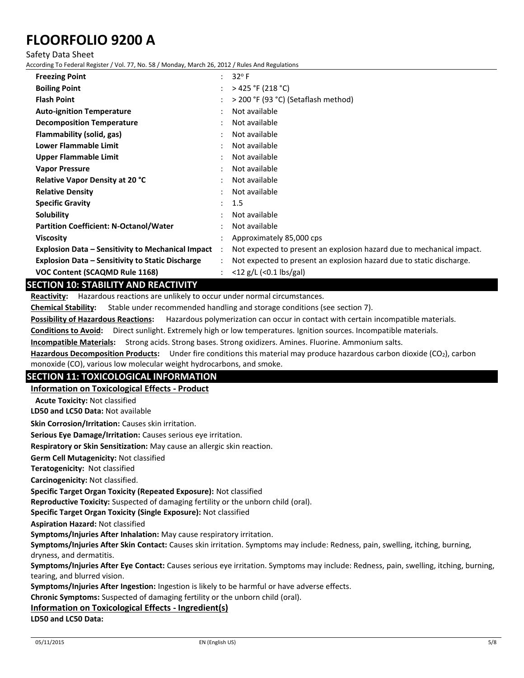Safety Data Sheet

According To Federal Register / Vol. 77, No. 58 / Monday, March 26, 2012 / Rules And Regulations

| <b>Freezing Point</b>                                    | $\ddot{\phantom{0}}$      | $32^{\circ}$ F                                                        |
|----------------------------------------------------------|---------------------------|-----------------------------------------------------------------------|
| <b>Boiling Point</b>                                     |                           | > 425 °F (218 °C)                                                     |
| <b>Flash Point</b>                                       |                           | > 200 °F (93 °C) (Setaflash method)                                   |
| <b>Auto-ignition Temperature</b>                         |                           | Not available                                                         |
| <b>Decomposition Temperature</b>                         |                           | Not available                                                         |
| Flammability (solid, gas)                                |                           | Not available                                                         |
| Lower Flammable Limit                                    |                           | Not available                                                         |
| Upper Flammable Limit                                    |                           | Not available                                                         |
| <b>Vapor Pressure</b>                                    |                           | Not available                                                         |
| <b>Relative Vapor Density at 20 °C</b>                   |                           | Not available                                                         |
| <b>Relative Density</b>                                  |                           | Not available                                                         |
| <b>Specific Gravity</b>                                  | $\mathbb{R}^{\mathbb{Z}}$ | 1.5                                                                   |
| Solubility                                               |                           | Not available                                                         |
| <b>Partition Coefficient: N-Octanol/Water</b>            |                           | Not available                                                         |
| <b>Viscosity</b>                                         |                           | Approximately 85,000 cps                                              |
| <b>Explosion Data - Sensitivity to Mechanical Impact</b> |                           | Not expected to present an explosion hazard due to mechanical impact. |
| <b>Explosion Data – Sensitivity to Static Discharge</b>  |                           | Not expected to present an explosion hazard due to static discharge.  |
| <b>VOC Content (SCAQMD Rule 1168)</b>                    |                           | $<$ 12 g/L ( $<$ 0.1 lbs/gal)                                         |

## **SECTION 10: STABILITY AND REACTIVITY**

**Reactivity:** Hazardous reactions are unlikely to occur under normal circumstances.

**Chemical Stability:** Stable under recommended handling and storage conditions (see section 7).

**Possibility of Hazardous Reactions:** Hazardous polymerization can occur in contact with certain incompatible materials.

**Conditions to Avoid:** Direct sunlight. Extremely high or low temperatures. Ignition sources. Incompatible materials.

**Incompatible Materials:** Strong acids. Strong bases. Strong oxidizers. Amines. Fluorine. Ammonium salts.

**Hazardous Decomposition Products:** Under fire conditions this material may produce hazardous carbon dioxide (CO2), carbon monoxide (CO), various low molecular weight hydrocarbons, and smoke.

#### **SECTION 11: TOXICOLOGICAL INFORMATION**

**Information on Toxicological Effects - Product**

**Acute Toxicity:** Not classified

**LD50 and LC50 Data:** Not available

**Skin Corrosion/Irritation:** Causes skin irritation.

**Serious Eye Damage/Irritation:** Causes serious eye irritation.

**Respiratory or Skin Sensitization:** May cause an allergic skin reaction.

**Germ Cell Mutagenicity:** Not classified

**Teratogenicity:** Not classified

**Carcinogenicity:** Not classified.

**Specific Target Organ Toxicity (Repeated Exposure):** Not classified

**Reproductive Toxicity:** Suspected of damaging fertility or the unborn child (oral).

**Specific Target Organ Toxicity (Single Exposure):** Not classified

**Aspiration Hazard:** Not classified

**Symptoms/Injuries After Inhalation:** May cause respiratory irritation.

**Symptoms/Injuries After Skin Contact:** Causes skin irritation. Symptoms may include: Redness, pain, swelling, itching, burning, dryness, and dermatitis.

**Symptoms/Injuries After Eye Contact:** Causes serious eye irritation. Symptoms may include: Redness, pain, swelling, itching, burning, tearing, and blurred vision.

**Symptoms/Injuries After Ingestion:** Ingestion is likely to be harmful or have adverse effects.

**Chronic Symptoms:** Suspected of damaging fertility or the unborn child (oral).

#### **Information on Toxicological Effects - Ingredient(s)**

**LD50 and LC50 Data:**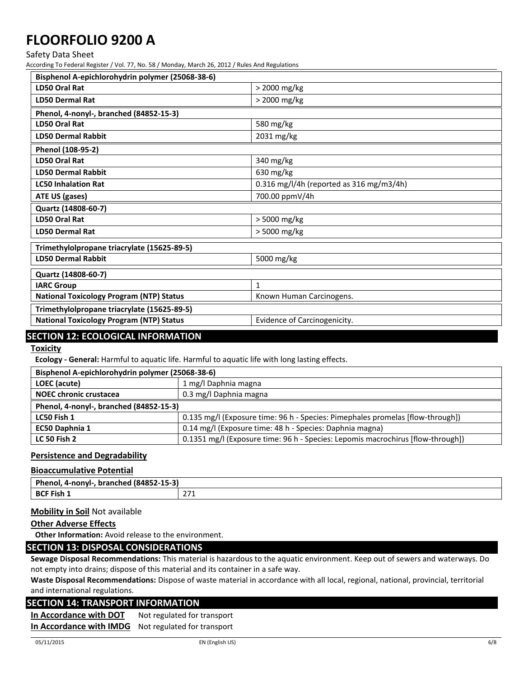Safety Data Sheet

According To Federal Register / Vol. 77, No. 58 / Monday, March 26, 2012 / Rules And Regulations

| Bisphenol A-epichlorohydrin polymer (25068-38-6) |                                          |  |
|--------------------------------------------------|------------------------------------------|--|
| <b>LD50 Oral Rat</b>                             | > 2000 mg/kg                             |  |
| LD50 Dermal Rat                                  | > 2000 mg/kg                             |  |
| Phenol, 4-nonyl-, branched (84852-15-3)          |                                          |  |
| <b>LD50 Oral Rat</b>                             | 580 mg/kg                                |  |
| <b>LD50 Dermal Rabbit</b>                        | 2031 mg/kg                               |  |
| Phenol (108-95-2)                                |                                          |  |
| <b>LD50 Oral Rat</b>                             | 340 mg/kg                                |  |
| <b>LD50 Dermal Rabbit</b>                        | 630 mg/kg                                |  |
| <b>LC50 Inhalation Rat</b>                       | 0.316 mg/l/4h (reported as 316 mg/m3/4h) |  |
| ATE US (gases)                                   | 700.00 ppmV/4h                           |  |
| Quartz (14808-60-7)                              |                                          |  |
| LD50 Oral Rat                                    | > 5000 mg/kg                             |  |
| <b>LD50 Dermal Rat</b>                           | > 5000 mg/kg                             |  |
| Trimethylolpropane triacrylate (15625-89-5)      |                                          |  |
| <b>LD50 Dermal Rabbit</b>                        | 5000 mg/kg                               |  |
| Quartz (14808-60-7)                              |                                          |  |
| <b>IARC Group</b>                                | 1                                        |  |
| <b>National Toxicology Program (NTP) Status</b>  | Known Human Carcinogens.                 |  |
| Trimethylolpropane triacrylate (15625-89-5)      |                                          |  |
| <b>National Toxicology Program (NTP) Status</b>  | Evidence of Carcinogenicity.             |  |
|                                                  |                                          |  |

## **SECTION 12: ECOLOGICAL INFORMATION**

**Toxicity** 

**Ecology - General:** Harmful to aquatic life. Harmful to aquatic life with long lasting effects.

| Bisphenol A-epichlorohydrin polymer (25068-38-6) |                                                                                 |  |
|--------------------------------------------------|---------------------------------------------------------------------------------|--|
| LOEC (acute)                                     | 1 mg/l Daphnia magna                                                            |  |
| <b>NOEC chronic crustacea</b>                    | 0.3 mg/l Daphnia magna                                                          |  |
| Phenol, 4-nonyl-, branched (84852-15-3)          |                                                                                 |  |
| LC50 Fish 1                                      | 0.135 mg/l (Exposure time: 96 h - Species: Pimephales promelas [flow-through])  |  |
| EC50 Daphnia 1                                   | 0.14 mg/l (Exposure time: 48 h - Species: Daphnia magna)                        |  |
| <b>LC 50 Fish 2</b>                              | 0.1351 mg/l (Exposure time: 96 h - Species: Lepomis macrochirus [flow-through]) |  |

#### **Persistence and Degradability**

#### **Bioaccumulative Potential**

| $\sim$ $\sim$ $\sim$ $\sim$<br>Phen<br>18485<br><b>branched</b><br>-nonvl-<br>л.<br>2-15-31 |              |
|---------------------------------------------------------------------------------------------|--------------|
| Fish                                                                                        | 274          |
| $R^r$                                                                                       | <u>_ , _</u> |

#### **Mobility in Soil** Not available

#### **Other Adverse Effects**

**Other Information:** Avoid release to the environment.

## **SECTION 13: DISPOSAL CONSIDERATIONS**

**Sewage Disposal Recommendations:** This material is hazardous to the aquatic environment. Keep out of sewers and waterways. Do not empty into drains; dispose of this material and its container in a safe way.

**Waste Disposal Recommendations:** Dispose of waste material in accordance with all local, regional, national, provincial, territorial and international regulations.

### **SECTION 14: TRANSPORT INFORMATION**

**In Accordance with DOT** Not regulated for transport **In Accordance with IMDG** Not regulated for transport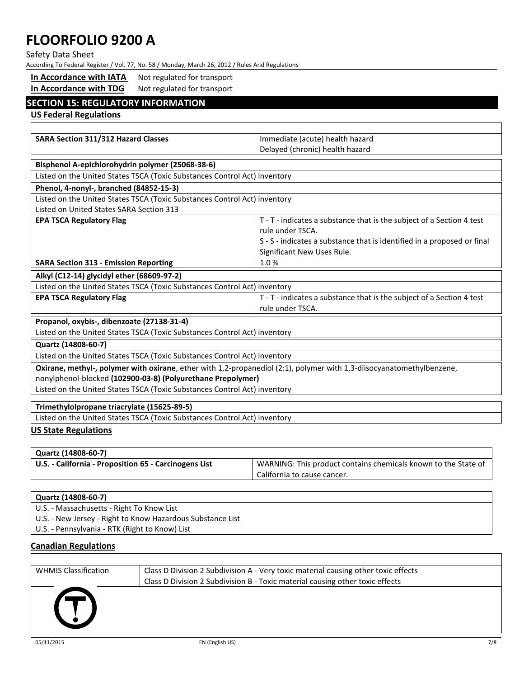Safety Data Sheet

According To Federal Register / Vol. 77, No. 58 / Monday, March 26, 2012 / Rules And Regulations

| In Accordance with IATA |  | Not regulated for transport |
|-------------------------|--|-----------------------------|
|                         |  |                             |

## **In Accordance with TDG** Not regulated for transport

## **SECTION 15: REGULATORY INFORMATION**

**US Federal Regulations**

| SARA Section 311/312 Hazard Classes                                                                                   | Immediate (acute) health hazard                                         |  |
|-----------------------------------------------------------------------------------------------------------------------|-------------------------------------------------------------------------|--|
|                                                                                                                       | Delayed (chronic) health hazard                                         |  |
| Bisphenol A-epichlorohydrin polymer (25068-38-6)                                                                      |                                                                         |  |
| Listed on the United States TSCA (Toxic Substances Control Act) inventory                                             |                                                                         |  |
| Phenol, 4-nonyl-, branched (84852-15-3)                                                                               |                                                                         |  |
| Listed on the United States TSCA (Toxic Substances Control Act) inventory                                             |                                                                         |  |
| Listed on United States SARA Section 313                                                                              |                                                                         |  |
| <b>EPA TSCA Regulatory Flag</b>                                                                                       | T - T - indicates a substance that is the subject of a Section 4 test   |  |
|                                                                                                                       | rule under TSCA.                                                        |  |
|                                                                                                                       | S - S - indicates a substance that is identified in a proposed or final |  |
|                                                                                                                       | Significant New Uses Rule.                                              |  |
| <b>SARA Section 313 - Emission Reporting</b>                                                                          | 1.0%                                                                    |  |
|                                                                                                                       |                                                                         |  |
| Alkyl (C12-14) glycidyl ether (68609-97-2)                                                                            |                                                                         |  |
| Listed on the United States TSCA (Toxic Substances Control Act) inventory                                             |                                                                         |  |
| <b>EPA TSCA Regulatory Flag</b>                                                                                       | T - T - indicates a substance that is the subject of a Section 4 test   |  |
|                                                                                                                       | rule under TSCA.                                                        |  |
| Propanol, oxybis-, dibenzoate (27138-31-4)                                                                            |                                                                         |  |
| Listed on the United States TSCA (Toxic Substances Control Act) inventory                                             |                                                                         |  |
| Quartz (14808-60-7)                                                                                                   |                                                                         |  |
| Listed on the United States TSCA (Toxic Substances Control Act) inventory                                             |                                                                         |  |
| Oxirane, methyl-, polymer with oxirane, ether with 1,2-propanediol (2:1), polymer with 1,3-diisocyanatomethylbenzene, |                                                                         |  |
| nonylphenol-blocked (102900-03-8) (Polyurethane Prepolymer)                                                           |                                                                         |  |
| Listed on the United States TSCA (Toxic Substances Control Act) inventory                                             |                                                                         |  |
|                                                                                                                       |                                                                         |  |
| Trimethylolpropane triacrylate (15625-89-5)                                                                           |                                                                         |  |
| Listed on the United States TSCA (Toxic Substances Control Act) inventory                                             |                                                                         |  |
| <b>US State Regulations</b>                                                                                           |                                                                         |  |

## **Quartz (14808-60-7) U.S. - California - Proposition 65 - Carcinogens List** WARNING: This product contains chemicals known to the State of California to cause cancer.

| Quartz (14808-60-7)                                        |  |
|------------------------------------------------------------|--|
| U.S. - Massachusetts - Right To Know List                  |  |
| U.S. - New Jersey - Right to Know Hazardous Substance List |  |
| U.S. - Pennsylvania - RTK (Right to Know) List             |  |

### **Canadian Regulations**

| <b>WHMIS Classification</b> | Class D Division 2 Subdivision A - Very toxic material causing other toxic effects<br>Class D Division 2 Subdivision B - Toxic material causing other toxic effects |
|-----------------------------|---------------------------------------------------------------------------------------------------------------------------------------------------------------------|
|                             |                                                                                                                                                                     |

Г